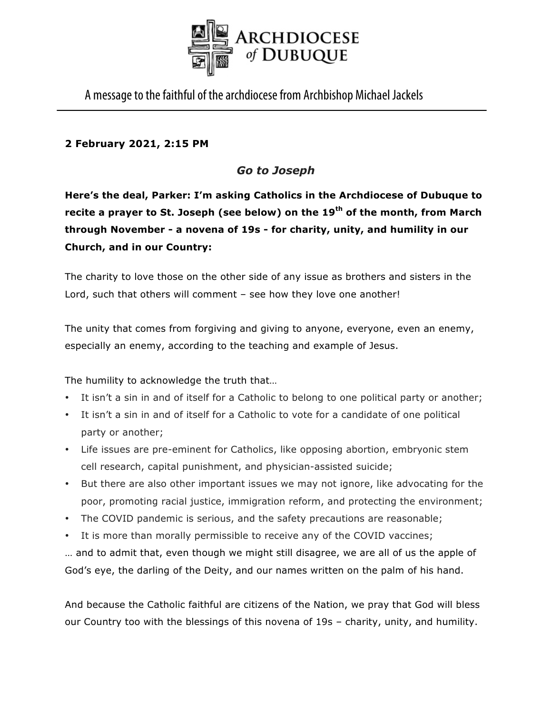

A message to the faithful of the archdiocese from Archbishop Michael Jackels

## **2 February 2021, 2:15 PM**

# *Go to Joseph*

**Here's the deal, Parker: I'm asking Catholics in the Archdiocese of Dubuque to recite a prayer to St. Joseph (see below) on the 19th of the month, from March through November - a novena of 19s - for charity, unity, and humility in our Church, and in our Country:**

The charity to love those on the other side of any issue as brothers and sisters in the Lord, such that others will comment – see how they love one another!

The unity that comes from forgiving and giving to anyone, everyone, even an enemy, especially an enemy, according to the teaching and example of Jesus.

The humility to acknowledge the truth that…

- It isn't a sin in and of itself for a Catholic to belong to one political party or another;
- It isn't a sin in and of itself for a Catholic to vote for a candidate of one political party or another;
- Life issues are pre-eminent for Catholics, like opposing abortion, embryonic stem cell research, capital punishment, and physician-assisted suicide;
- But there are also other important issues we may not ignore, like advocating for the poor, promoting racial justice, immigration reform, and protecting the environment;
- The COVID pandemic is serious, and the safety precautions are reasonable;
- It is more than morally permissible to receive any of the COVID vaccines;

… and to admit that, even though we might still disagree, we are all of us the apple of God's eye, the darling of the Deity, and our names written on the palm of his hand.

And because the Catholic faithful are citizens of the Nation, we pray that God will bless our Country too with the blessings of this novena of 19s – charity, unity, and humility.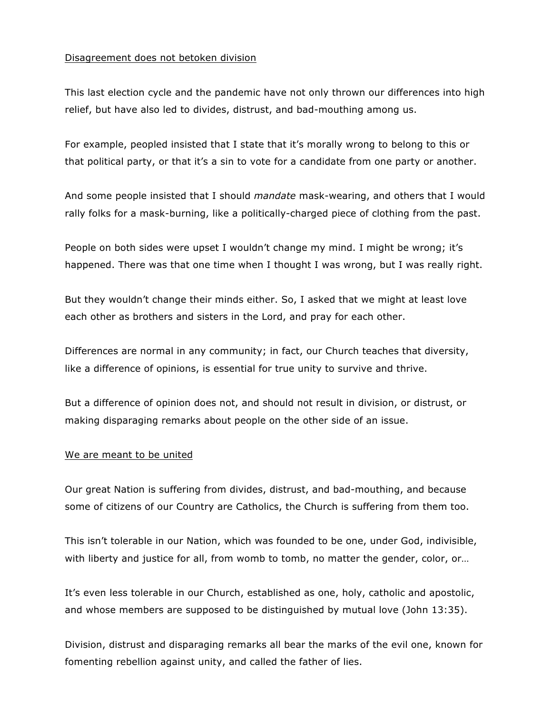### Disagreement does not betoken division

This last election cycle and the pandemic have not only thrown our differences into high relief, but have also led to divides, distrust, and bad-mouthing among us.

For example, peopled insisted that I state that it's morally wrong to belong to this or that political party, or that it's a sin to vote for a candidate from one party or another.

And some people insisted that I should *mandate* mask-wearing, and others that I would rally folks for a mask-burning, like a politically-charged piece of clothing from the past.

People on both sides were upset I wouldn't change my mind. I might be wrong; it's happened. There was that one time when I thought I was wrong, but I was really right.

But they wouldn't change their minds either. So, I asked that we might at least love each other as brothers and sisters in the Lord, and pray for each other.

Differences are normal in any community; in fact, our Church teaches that diversity, like a difference of opinions, is essential for true unity to survive and thrive.

But a difference of opinion does not, and should not result in division, or distrust, or making disparaging remarks about people on the other side of an issue.

#### We are meant to be united

Our great Nation is suffering from divides, distrust, and bad-mouthing, and because some of citizens of our Country are Catholics, the Church is suffering from them too.

This isn't tolerable in our Nation, which was founded to be one, under God, indivisible, with liberty and justice for all, from womb to tomb, no matter the gender, color, or…

It's even less tolerable in our Church, established as one, holy, catholic and apostolic, and whose members are supposed to be distinguished by mutual love (John 13:35).

Division, distrust and disparaging remarks all bear the marks of the evil one, known for fomenting rebellion against unity, and called the father of lies.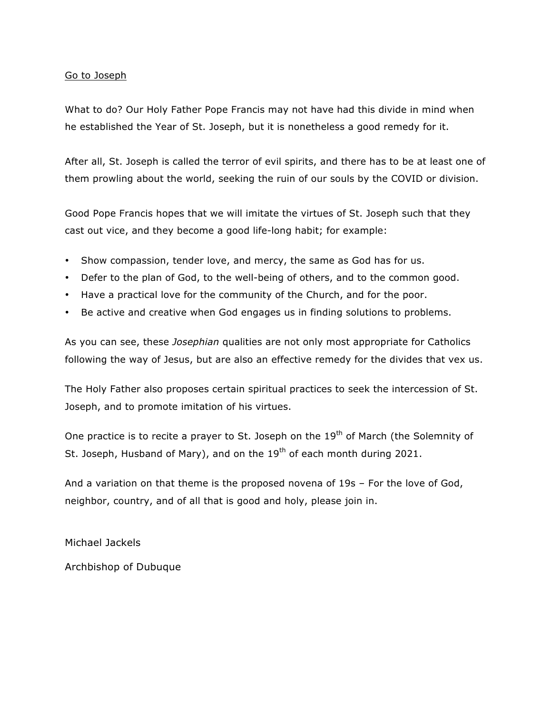## Go to Joseph

What to do? Our Holy Father Pope Francis may not have had this divide in mind when he established the Year of St. Joseph, but it is nonetheless a good remedy for it.

After all, St. Joseph is called the terror of evil spirits, and there has to be at least one of them prowling about the world, seeking the ruin of our souls by the COVID or division.

Good Pope Francis hopes that we will imitate the virtues of St. Joseph such that they cast out vice, and they become a good life-long habit; for example:

- Show compassion, tender love, and mercy, the same as God has for us.
- Defer to the plan of God, to the well-being of others, and to the common good.
- Have a practical love for the community of the Church, and for the poor.
- Be active and creative when God engages us in finding solutions to problems.

As you can see, these *Josephian* qualities are not only most appropriate for Catholics following the way of Jesus, but are also an effective remedy for the divides that vex us.

The Holy Father also proposes certain spiritual practices to seek the intercession of St. Joseph, and to promote imitation of his virtues.

One practice is to recite a prayer to St. Joseph on the 19<sup>th</sup> of March (the Solemnity of St. Joseph, Husband of Mary), and on the  $19<sup>th</sup>$  of each month during 2021.

And a variation on that theme is the proposed novena of 19s – For the love of God, neighbor, country, and of all that is good and holy, please join in.

Michael Jackels

Archbishop of Dubuque